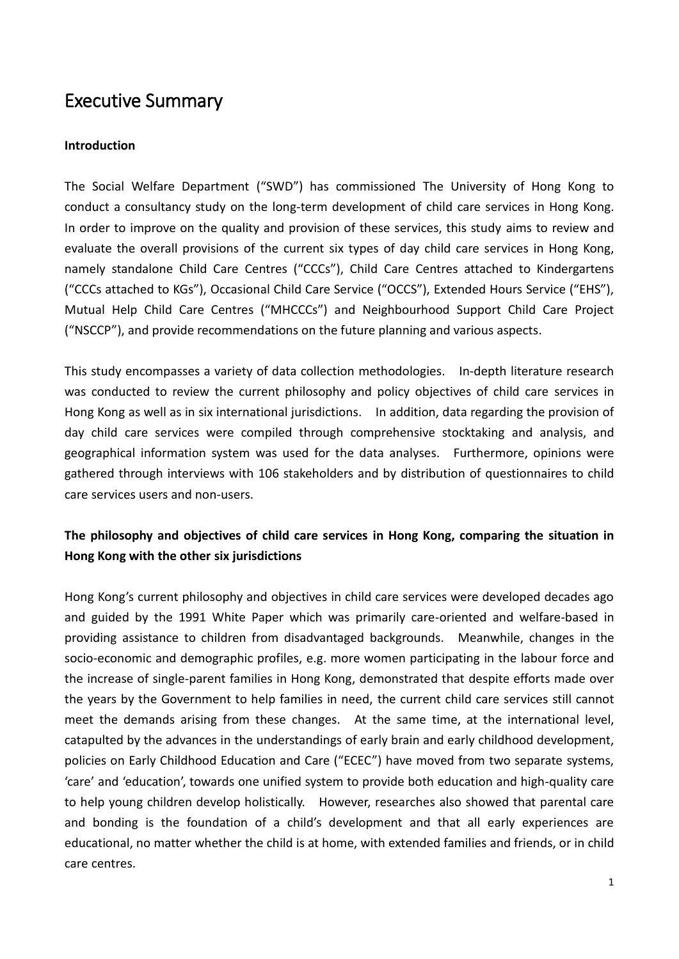# Executive Summary

#### **Introduction**

The Social Welfare Department ("SWD") has commissioned The University of Hong Kong to conduct a consultancy study on the long-term development of child care services in Hong Kong. In order to improve on the quality and provision of these services, this study aims to review and evaluate the overall provisions of the current six types of day child care services in Hong Kong, namely standalone Child Care Centres ("CCCs"), Child Care Centres attached to Kindergartens ("CCCs attached to KGs"), Occasional Child Care Service ("OCCS"), Extended Hours Service ("EHS"), Mutual Help Child Care Centres ("MHCCCs") and Neighbourhood Support Child Care Project ("NSCCP"), and provide recommendations on the future planning and various aspects.

 This study encompasses a variety of data collection methodologies. In-depth literature research was conducted to review the current philosophy and policy objectives of child care services in Hong Kong as well as in six international jurisdictions. In addition, data regarding the provision of day child care services were compiled through comprehensive stocktaking and analysis, and geographical information system was used for the data analyses. Furthermore, opinions were gathered through interviews with 106 stakeholders and by distribution of questionnaires to child care services users and non-users.

# **The philosophy and objectives of child care services in Hong Kong, comparing the situation in Hong Kong with the other six jurisdictions**

Hong Kong's current philosophy and objectives in child care services were developed decades ago and guided by the 1991 White Paper which was primarily care-oriented and welfare-based in providing assistance to children from disadvantaged backgrounds. Meanwhile, changes in the socio-economic and demographic profiles, e.g. more women participating in the labour force and the increase of single-parent families in Hong Kong, demonstrated that despite efforts made over the years by the Government to help families in need, the current child care services still cannot meet the demands arising from these changes. At the same time, at the international level, catapulted by the advances in the understandings of early brain and early childhood development, policies on Early Childhood Education and Care ("ECEC") have moved from two separate systems, 'care' and 'education', towards one unified system to provide both education and high-quality care to help young children develop holistically. However, researches also showed that parental care and bonding is the foundation of a child's development and that all early experiences are educational, no matter whether the child is at home, with extended families and friends, or in child care centres. care centres.<br>
1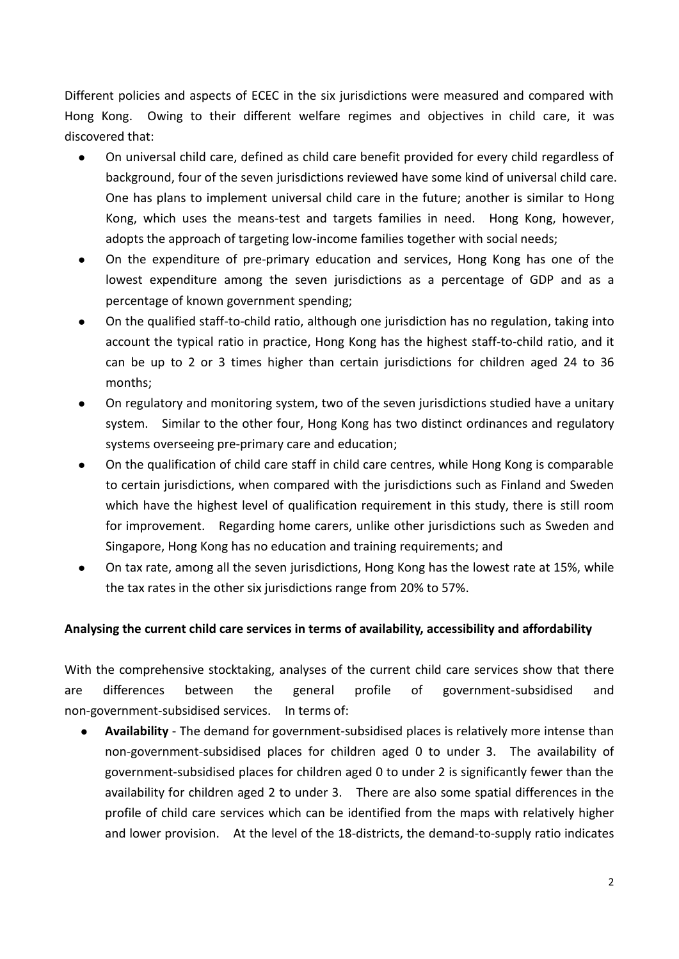Different policies and aspects of ECEC in the six jurisdictions were measured and compared with Hong Kong. Owing to their different welfare regimes and objectives in child care, it was discovered that:

- On universal child care, defined as child care benefit provided for every child regardless of background, four of the seven jurisdictions reviewed have some kind of universal child care. One has plans to implement universal child care in the future; another is similar to Hong Kong, which uses the means-test and targets families in need. Hong Kong, however, adopts the approach of targeting low-income families together with social needs;
- On the expenditure of pre-primary education and services, Hong Kong has one of the lowest expenditure among the seven jurisdictions as a percentage of GDP and as a percentage of known government spending;
- On the qualified staff-to-child ratio, although one jurisdiction has no regulation, taking into account the typical ratio in practice, Hong Kong has the highest staff-to-child ratio, and it can be up to 2 or 3 times higher than certain jurisdictions for children aged 24 to 36 months;
- On regulatory and monitoring system, two of the seven jurisdictions studied have a unitary system. Similar to the other four, Hong Kong has two distinct ordinances and regulatory systems overseeing pre-primary care and education;
- On the qualification of child care staff in child care centres, while Hong Kong is comparable to certain jurisdictions, when compared with the jurisdictions such as Finland and Sweden which have the highest level of qualification requirement in this study, there is still room for improvement. Regarding home carers, unlike other jurisdictions such as Sweden and Singapore, Hong Kong has no education and training requirements; and
- On tax rate, among all the seven jurisdictions, Hong Kong has the lowest rate at 15%, while the tax rates in the other six jurisdictions range from 20% to 57%.

## **Analysing the current child care services in terms of availability, accessibility and affordability**

 With the comprehensive stocktaking, analyses of the current child care services show that there general non-government-subsidised services. In terms of: are differences between the general profile of government-subsidised and

 **Availability** - The demand for government-subsidised places is relatively more intense than non-government-subsidised places for children aged 0 to under 3. The availability of government-subsidised places for children aged 0 to under 2 is significantly fewer than the availability for children aged 2 to under 3. There are also some spatial differences in the profile of child care services which can be identified from the maps with relatively higher and lower provision. At the level of the 18-districts, the demand-to-supply ratio indicates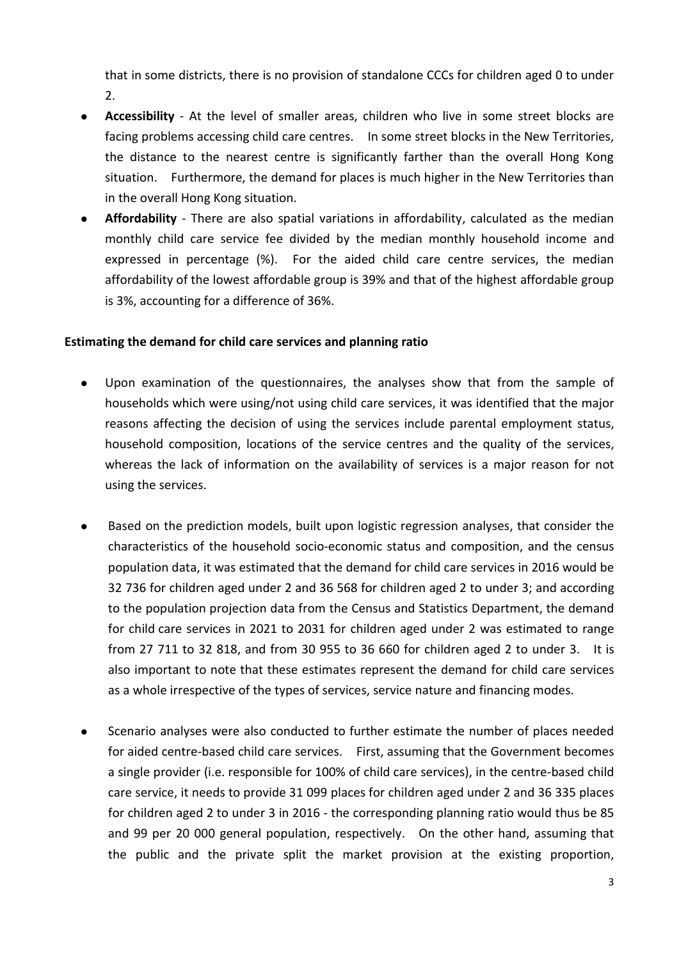that in some districts, there is no provision of standalone CCCs for children aged 0 to under 2.

- **Accessibility**  At the level of smaller areas, children who live in some street blocks are facing problems accessing child care centres. In some street blocks in the New Territories, the distance to the nearest centre is significantly farther than the overall Hong Kong situation. Furthermore, the demand for places is much higher in the New Territories than in the overall Hong Kong situation.
- **Affordability**  There are also spatial variations in affordability, calculated as the median monthly child care service fee divided by the median monthly household income and expressed in percentage (%). For the aided child care centre services, the median affordability of the lowest affordable group is 39% and that of the highest affordable group is 3%, accounting for a difference of 36%.

#### **Estimating the demand for child care services and planning ratio**

- Upon examination of the questionnaires, the analyses show that from the sample of households which were using/not using child care services, it was identified that the major reasons affecting the decision of using the services include parental employment status, household composition, locations of the service centres and the quality of the services, whereas the lack of information on the availability of services is a major reason for not using the services.
- Based on the prediction models, built upon logistic regression analyses, that consider the characteristics of the household socio-economic status and composition, and the census population data, it was estimated that the demand for child care services in 2016 would be 32 736 for children aged under 2 and 36 568 for children aged 2 to under 3; and according to the population projection data from the Census and Statistics Department, the demand for child care services in 2021 to 2031 for children aged under 2 was estimated to range from 27 711 to 32 818, and from 30 955 to 36 660 for children aged 2 to under 3. It is also important to note that these estimates represent the demand for child care services as a whole irrespective of the types of services, service nature and financing modes.
- Scenario analyses were also conducted to further estimate the number of places needed for aided centre-based child care services. First, assuming that the Government becomes a single provider (i.e. responsible for 100% of child care services), in the centre-based child care service, it needs to provide 31 099 places for children aged under 2 and 36 335 places for children aged 2 to under 3 in 2016 - the corresponding planning ratio would thus be 85 and 99 per 20 000 general population, respectively. On the other hand, assuming that the public and the private split the market provision at the existing proportion,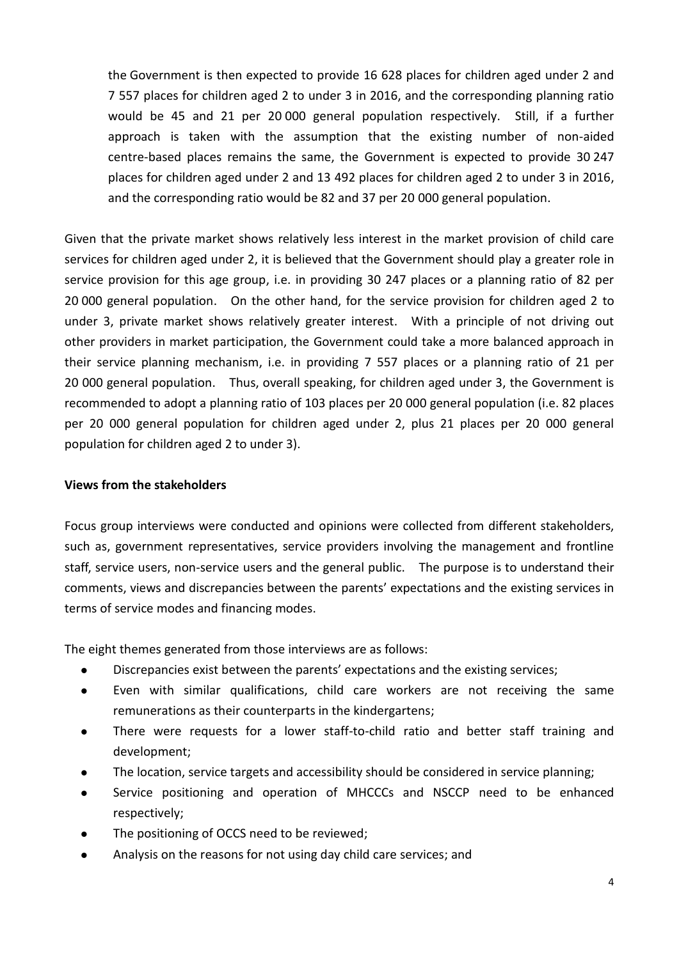the Government is then expected to provide 16 628 places for children aged under 2 and 7 557 places for children aged 2 to under 3 in 2016, and the corresponding planning ratio would be 45 and 21 per 20 000 general population respectively. Still, if a further approach is taken with the assumption that the existing number of non-aided centre-based places remains the same, the Government is expected to provide 30 247 places for children aged under 2 and 13 492 places for children aged 2 to under 3 in 2016, and the corresponding ratio would be 82 and 37 per 20 000 general population.

 Given that the private market shows relatively less interest in the market provision of child care services for children aged under 2, it is believed that the Government should play a greater role in service provision for this age group, i.e. in providing 30 247 places or a planning ratio of 82 per 20 000 general population. On the other hand, for the service provision for children aged 2 to under 3, private market shows relatively greater interest. With a principle of not driving out other providers in market participation, the Government could take a more balanced approach in their service planning mechanism, i.e. in providing 7 557 places or a planning ratio of 21 per 20 000 general population. Thus, overall speaking, for children aged under 3, the Government is recommended to adopt a planning ratio of 103 places per 20 000 general population (i.e. 82 places per 20 000 general population for children aged under 2, plus 21 places per 20 000 general population for children aged 2 to under 3).

#### **Views from the stakeholders**

 Focus group interviews were conducted and opinions were collected from different stakeholders, such as, government representatives, service providers involving the management and frontline staff, service users, non-service users and the general public. The purpose is to understand their comments, views and discrepancies between the parents' expectations and the existing services in terms of service modes and financing modes.

The eight themes generated from those interviews are as follows:

- Discrepancies exist between the parents' expectations and the existing services;
- Even with similar qualifications, child care workers are not receiving the same remunerations as their counterparts in the kindergartens;
- There were requests for a lower staff-to-child ratio and better staff training and development;
- The location, service targets and accessibility should be considered in service planning;
- Service positioning and operation of MHCCCs and NSCCP need to be enhanced respectively;
- The positioning of OCCS need to be reviewed;
- Analysis on the reasons for not using day child care services; and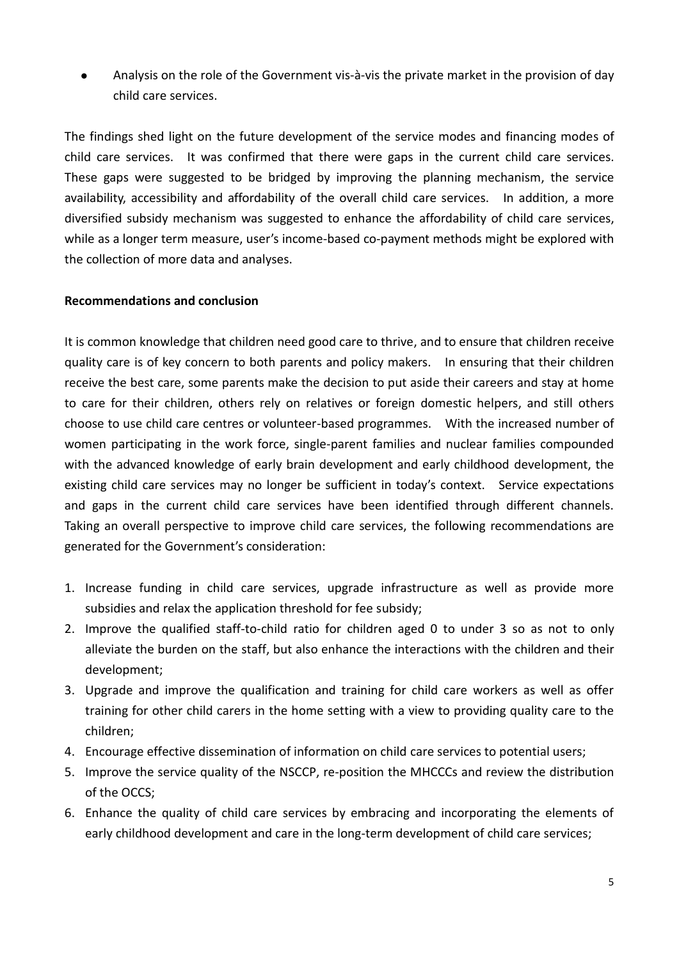Analysis on the role of the Government vis-à-vis the private market in the provision of day child care services.

 The findings shed light on the future development of the service modes and financing modes of child care services. It was confirmed that there were gaps in the current child care services. These gaps were suggested to be bridged by improving the planning mechanism, the service availability, accessibility and affordability of the overall child care services. In addition, a more diversified subsidy mechanism was suggested to enhance the affordability of child care services, while as a longer term measure, user's income-based co-payment methods might be explored with the collection of more data and analyses.

## **Recommendations and conclusion**

 It is common knowledge that children need good care to thrive, and to ensure that children receive quality care is of key concern to both parents and policy makers. In ensuring that their children receive the best care, some parents make the decision to put aside their careers and stay at home to care for their children, others rely on relatives or foreign domestic helpers, and still others choose to use child care centres or volunteer-based programmes. With the increased number of women participating in the work force, single-parent families and nuclear families compounded with the advanced knowledge of early brain development and early childhood development, the existing child care services may no longer be sufficient in today's context. Service expectations and gaps in the current child care services have been identified through different channels. Taking an overall perspective to improve child care services, the following recommendations are generated for the Government's consideration:

- 1. Increase funding in child care services, upgrade infrastructure as well as provide more subsidies and relax the application threshold for fee subsidy;
- 2. Improve the qualified staff-to-child ratio for children aged 0 to under 3 so as not to only alleviate the burden on the staff, but also enhance the interactions with the children and their development;
- 3. Upgrade and improve the qualification and training for child care workers as well as offer training for other child carers in the home setting with a view to providing quality care to the children;
- 4. Encourage effective dissemination of information on child care services to potential users;
- 5. Improve the service quality of the NSCCP, re-position the MHCCCs and review the distribution of the OCCS;
- 6. Enhance the quality of child care services by embracing and incorporating the elements of early childhood development and care in the long-term development of child care services;